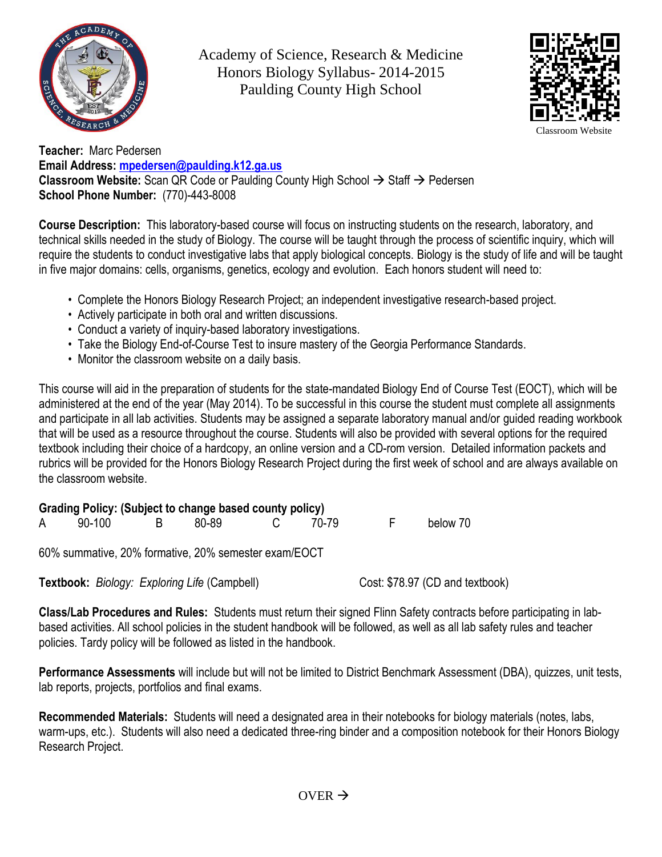

Academy of Science, Research & Medicine Honors Biology Syllabus- 2014-2015 Paulding County High School



Classroom Website

**Teacher:** Marc Pedersen **Email Address: [mpedersen@paulding.k12.ga.us](mailto:mpedersen@paulding.k12.ga.us)**  Classroom Website: Scan QR Code or Paulding County High School → Staff → Pedersen **School Phone Number:** (770)-443-8008

**Course Description:** This laboratory-based course will focus on instructing students on the research, laboratory, and technical skills needed in the study of Biology. The course will be taught through the process of scientific inquiry, which will require the students to conduct investigative labs that apply biological concepts. Biology is the study of life and will be taught in five major domains: cells, organisms, genetics, ecology and evolution. Each honors student will need to:

- Complete the Honors Biology Research Project; an independent investigative research-based project.
- Actively participate in both oral and written discussions.
- Conduct a variety of inquiry-based laboratory investigations.
- Take the Biology End-of-Course Test to insure mastery of the Georgia Performance Standards.
- Monitor the classroom website on a daily basis.

This course will aid in the preparation of students for the state-mandated Biology End of Course Test (EOCT), which will be administered at the end of the year (May 2014). To be successful in this course the student must complete all assignments and participate in all lab activities. Students may be assigned a separate laboratory manual and/or guided reading workbook that will be used as a resource throughout the course. Students will also be provided with several options for the required textbook including their choice of a hardcopy, an online version and a CD-rom version. Detailed information packets and rubrics will be provided for the Honors Biology Research Project during the first week of school and are always available on the classroom website.

| Grading Policy: (Subject to change based county policy) |            |  |  |                                                      |       |    |          |  |  |  |
|---------------------------------------------------------|------------|--|--|------------------------------------------------------|-------|----|----------|--|--|--|
|                                                         | A 90-100 B |  |  | 80-89 C                                              | 70-79 | F. | below 70 |  |  |  |
|                                                         |            |  |  | 60% summative, 20% formative, 20% semester exam/EOCT |       |    |          |  |  |  |

**Textbook:** *Biology: Exploring Life* (Campbell) Cost: \$78.97 (CD and textbook)

**Class/Lab Procedures and Rules:** Students must return their signed Flinn Safety contracts before participating in labbased activities. All school policies in the student handbook will be followed, as well as all lab safety rules and teacher policies. Tardy policy will be followed as listed in the handbook.

**Performance Assessments** will include but will not be limited to District Benchmark Assessment (DBA), quizzes, unit tests, lab reports, projects, portfolios and final exams.

**Recommended Materials:** Students will need a designated area in their notebooks for biology materials (notes, labs, warm-ups, etc.). Students will also need a dedicated three-ring binder and a composition notebook for their Honors Biology Research Project.